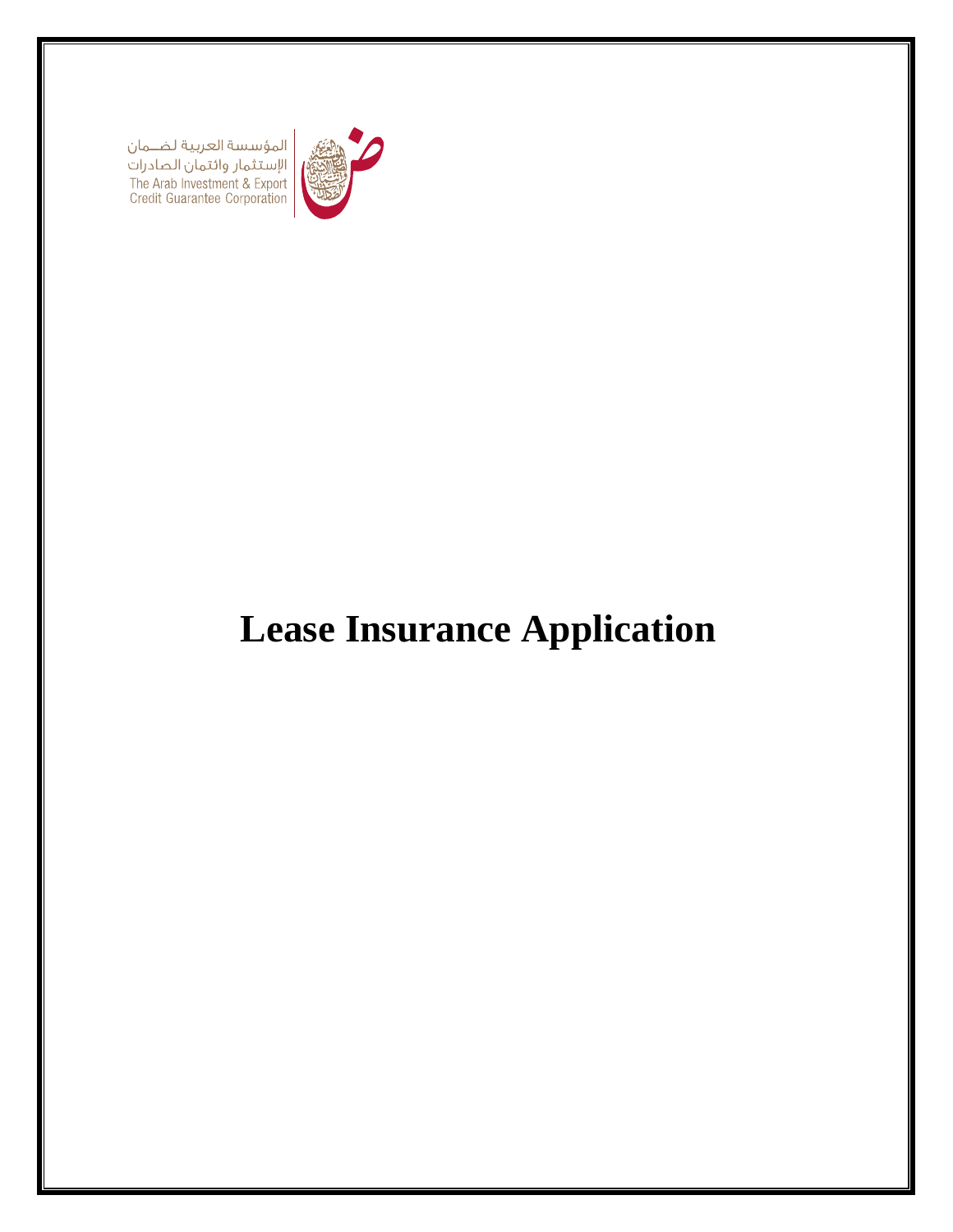| المؤسسة العربية لضـــمان<br>| الإستثمار وائتمان الصادرات<br>| The Arab Investment & Export<br>| Credit Guarantee Corporation



# **Lease Insurance Application**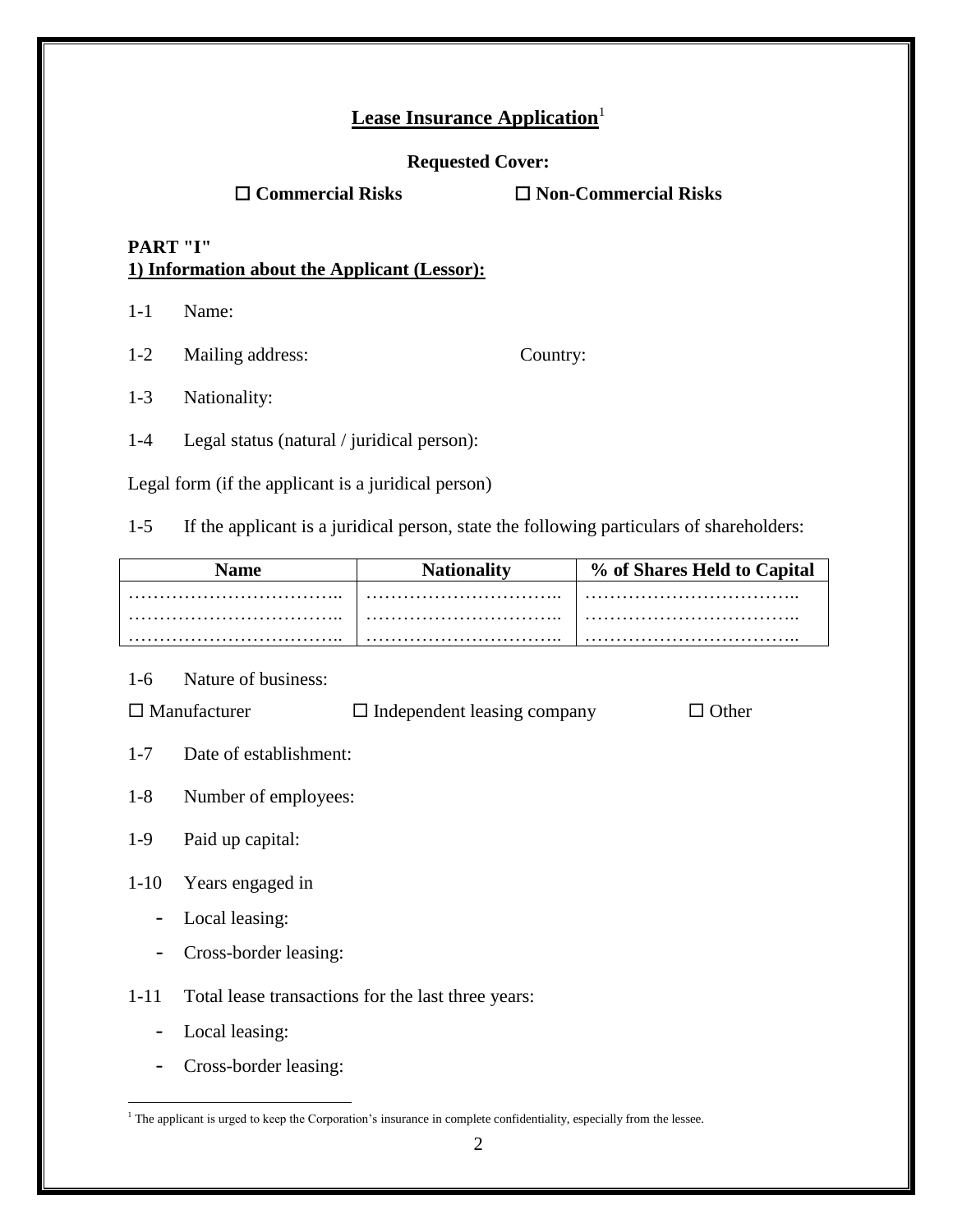## **Lease Insurance Application**<sup>1</sup>

#### **Requested Cover:**

**Commercial Risks Non-Commercial Risks**

## **PART "I" 1) Information about the Applicant (Lessor):**

1-1 Name:

1-2 Mailing address: Country:

1-3 Nationality:

1-4 Legal status (natural / juridical person):

Legal form (if the applicant is a juridical person)

1-5 If the applicant is a juridical person, state the following particulars of shareholders:

| <b>Name</b> | <b>Nationality</b> | % of Shares Held to Capital |
|-------------|--------------------|-----------------------------|
|             |                    |                             |
|             | .                  |                             |
|             |                    |                             |

1-6 Nature of business:

 $\square$  Manufacturer  $\square$  Independent leasing company  $\square$  Other

- 1-7 Date of establishment:
- 1-8 Number of employees:

## 1-9 Paid up capital:

- 1-10 Years engaged in
	- Local leasing:
	- Cross-border leasing:

1-11 Total lease transactions for the last three years:

- Local leasing:
- Cross-border leasing:

 $\overline{a}$ <sup>1</sup> The applicant is urged to keep the Corporation's insurance in complete confidentiality, especially from the lessee.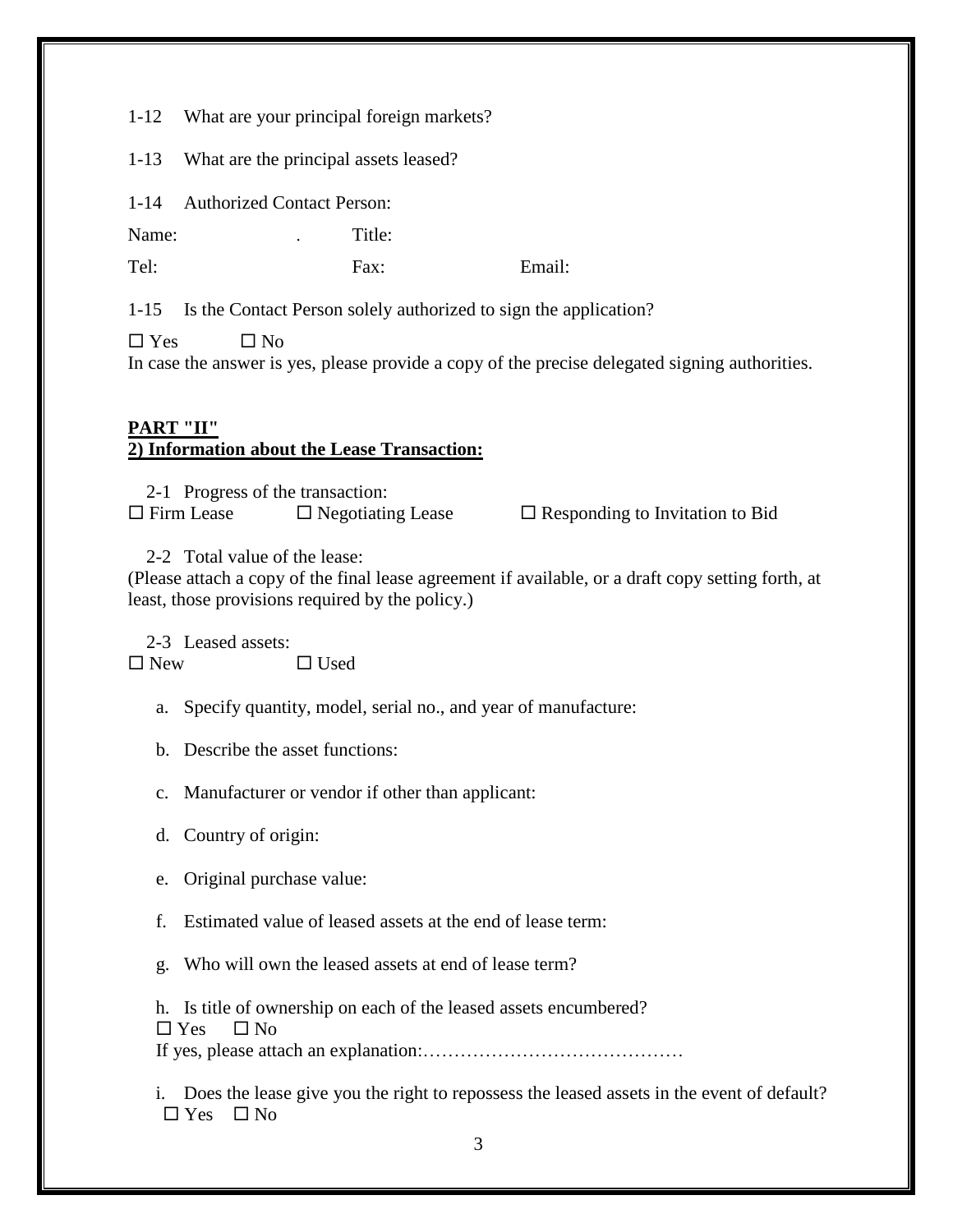1-12 What are your principal foreign markets?

1-13 What are the principal assets leased?

1-14 Authorized Contact Person:

Name: Title:

Tel: Fax: Email:

1-15 Is the Contact Person solely authorized to sign the application?

 $\Box$  Yes  $\Box$  No

In case the answer is yes, please provide a copy of the precise delegated signing authorities.

## **PART "II" 2) Information about the Lease Transaction:**

2-1 Progress of the transaction:  $\Box$  Firm Lease  $\Box$  Negotiating Lease  $\Box$  Responding to Invitation to Bid

2-2 Total value of the lease:

(Please attach a copy of the final lease agreement if available, or a draft copy setting forth, at least, those provisions required by the policy.)

2-3 Leased assets:  $\Box$  New  $\Box$  Used

a. Specify quantity, model, serial no., and year of manufacture:

b. Describe the asset functions:

c. Manufacturer or vendor if other than applicant:

d. Country of origin:

e. Original purchase value:

f. Estimated value of leased assets at the end of lease term:

g. Who will own the leased assets at end of lease term?

h. Is title of ownership on each of the leased assets encumbered?  $\Box$  Yes  $\Box$  No

If yes, please attach an explanation:……………………………………

i. Does the lease give you the right to repossess the leased assets in the event of default?  $\Box$  Yes  $\Box$  No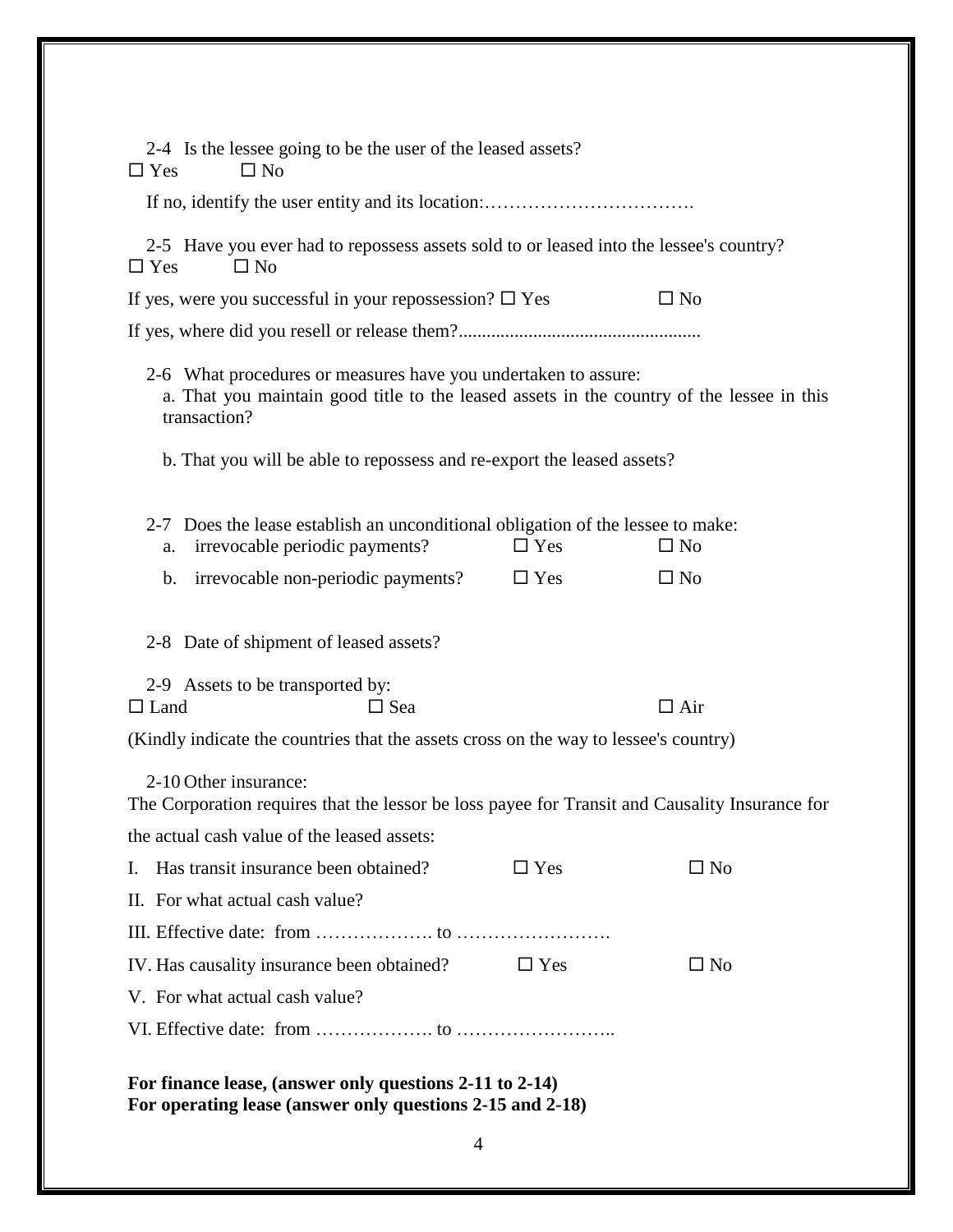| 2-4 Is the lessee going to be the user of the leased assets?<br>$\square$ No<br>$\Box$ Yes                                                                                  |            |              |  |
|-----------------------------------------------------------------------------------------------------------------------------------------------------------------------------|------------|--------------|--|
|                                                                                                                                                                             |            |              |  |
| 2-5 Have you ever had to repossess assets sold to or leased into the lessee's country?<br>$\Box$ Yes<br>$\Box$ No                                                           |            |              |  |
| If yes, were you successful in your repossession? $\square$ Yes                                                                                                             |            | $\square$ No |  |
|                                                                                                                                                                             |            |              |  |
| 2-6 What procedures or measures have you undertaken to assure:<br>a. That you maintain good title to the leased assets in the country of the lessee in this<br>transaction? |            |              |  |
| b. That you will be able to repossess and re-export the leased assets?                                                                                                      |            |              |  |
|                                                                                                                                                                             |            |              |  |
| 2-7 Does the lease establish an unconditional obligation of the lessee to make:<br>irrevocable periodic payments?<br>a.                                                     | $\Box$ Yes | $\square$ No |  |
| b. irrevocable non-periodic payments?                                                                                                                                       | $\Box$ Yes | $\square$ No |  |
|                                                                                                                                                                             |            |              |  |
| 2-8 Date of shipment of leased assets?                                                                                                                                      |            |              |  |
| 2-9 Assets to be transported by:<br>$\Box$ Land<br>$\Box$ Sea                                                                                                               |            | $\Box$ Air   |  |
| (Kindly indicate the countries that the assets cross on the way to lessee's country)                                                                                        |            |              |  |
| 2-10 Other insurance:<br>The Corporation requires that the lessor be loss payee for Transit and Causality Insurance for                                                     |            |              |  |
| the actual cash value of the leased assets:<br>Has transit insurance been obtained?                                                                                         | $\Box$ Yes |              |  |
| L.                                                                                                                                                                          |            | $\square$ No |  |
| II. For what actual cash value?                                                                                                                                             |            |              |  |
|                                                                                                                                                                             |            |              |  |
| IV. Has causality insurance been obtained?                                                                                                                                  | $\Box$ Yes | $\square$ No |  |
| V. For what actual cash value?                                                                                                                                              |            |              |  |
|                                                                                                                                                                             |            |              |  |
| For finance lease, (answer only questions 2-11 to 2-14)<br>For operating lease (answer only questions 2-15 and 2-18)<br>4                                                   |            |              |  |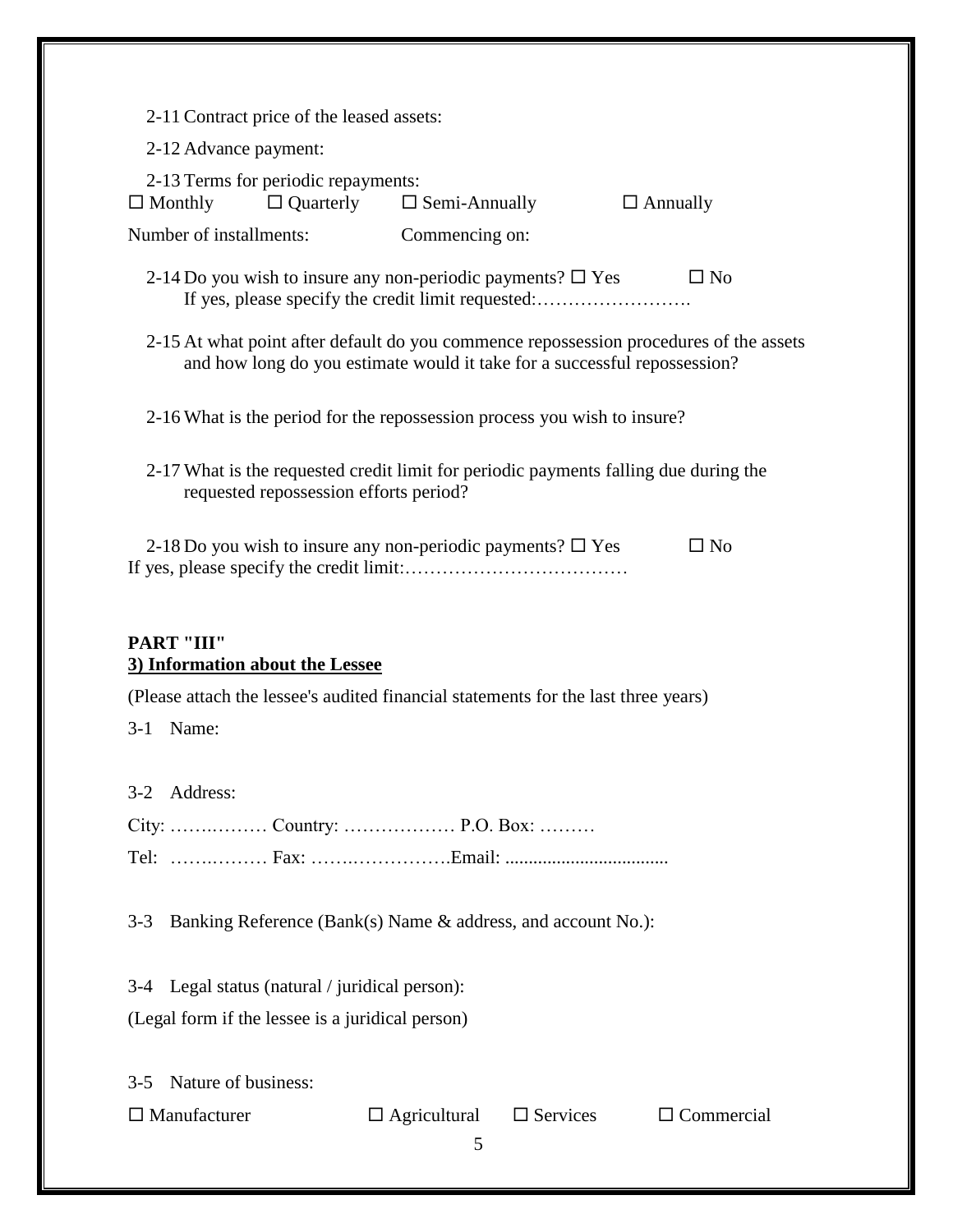| 2-11 Contract price of the leased assets:                                                                                                                           |                                       |                 |  |  |
|---------------------------------------------------------------------------------------------------------------------------------------------------------------------|---------------------------------------|-----------------|--|--|
| 2-12 Advance payment:                                                                                                                                               |                                       |                 |  |  |
| 2-13 Terms for periodic repayments:<br>$\Box$ Monthly                                                                                                               | $\Box$ Quarterly $\Box$ Semi-Annually | $\Box$ Annually |  |  |
| Number of installments:                                                                                                                                             | Commencing on:                        |                 |  |  |
| 2-14 Do you wish to insure any non-periodic payments? $\Box$ Yes<br>$\Box$ No<br>If yes, please specify the credit limit requested:                                 |                                       |                 |  |  |
| 2-15 At what point after default do you commence repossession procedures of the assets<br>and how long do you estimate would it take for a successful repossession? |                                       |                 |  |  |
| 2-16 What is the period for the repossession process you wish to insure?                                                                                            |                                       |                 |  |  |
| 2-17 What is the requested credit limit for periodic payments falling due during the<br>requested repossession efforts period?                                      |                                       |                 |  |  |
| 2-18 Do you wish to insure any non-periodic payments? $\square$ Yes<br>$\Box$ No                                                                                    |                                       |                 |  |  |
| <b>PART "III"</b><br>3) Information about the Lessee                                                                                                                |                                       |                 |  |  |
| (Please attach the lessee's audited financial statements for the last three years)                                                                                  |                                       |                 |  |  |
|                                                                                                                                                                     |                                       |                 |  |  |
| 3-1 Name:                                                                                                                                                           |                                       |                 |  |  |
|                                                                                                                                                                     |                                       |                 |  |  |
| Address:<br>$3-2$                                                                                                                                                   |                                       |                 |  |  |
|                                                                                                                                                                     |                                       |                 |  |  |
|                                                                                                                                                                     |                                       |                 |  |  |
| Banking Reference (Bank(s) Name & address, and account No.):<br>$3 - 3$                                                                                             |                                       |                 |  |  |
| 3-4 Legal status (natural / juridical person):                                                                                                                      |                                       |                 |  |  |
| (Legal form if the lessee is a juridical person)                                                                                                                    |                                       |                 |  |  |
|                                                                                                                                                                     |                                       |                 |  |  |
| Nature of business:<br>$3-5$                                                                                                                                        |                                       |                 |  |  |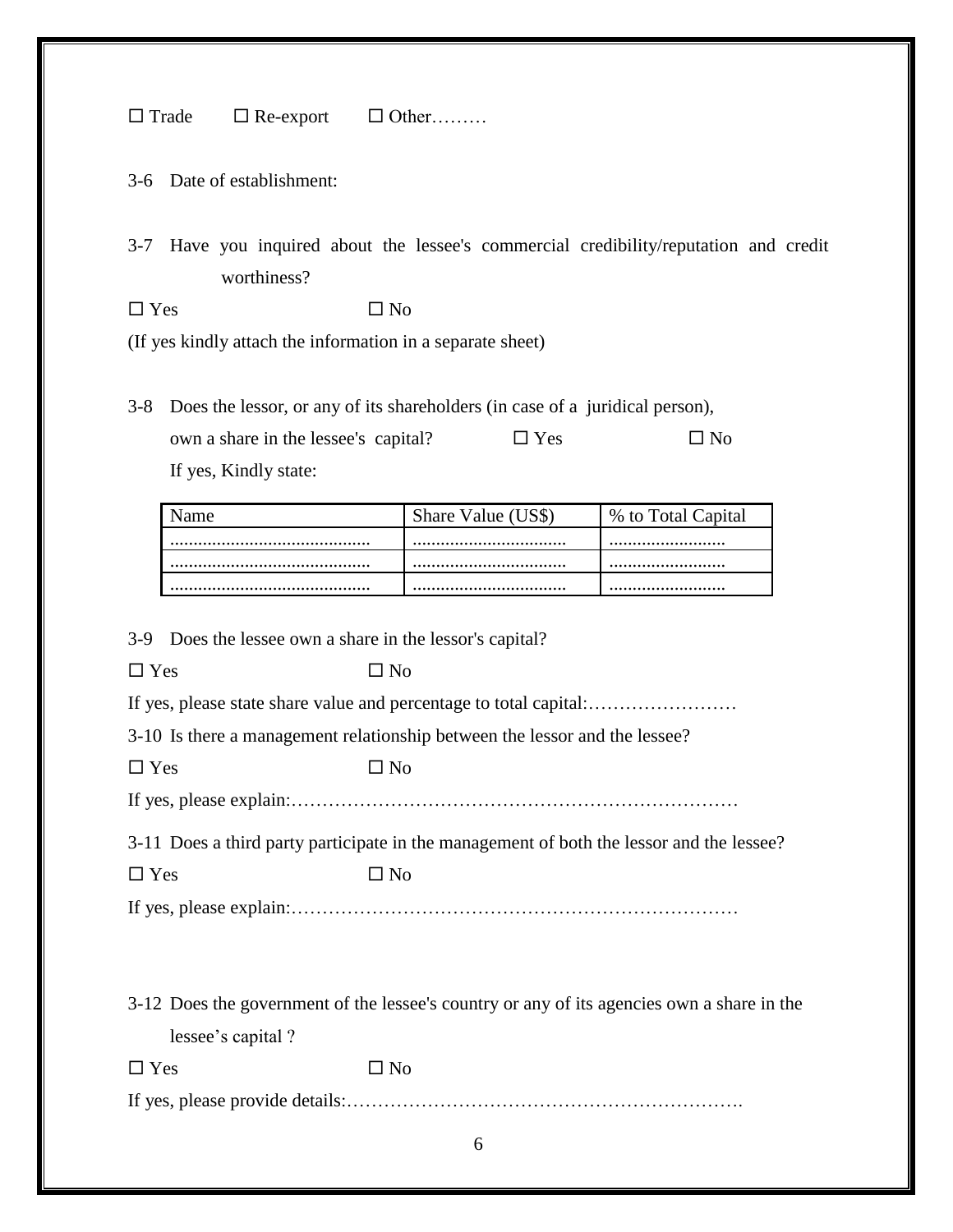$\Box$  Trade  $\Box$  Re-export  $\Box$  Other………

3-6 Date of establishment:

3-7 Have you inquired about the lessee's commercial credibility/reputation and credit worthiness?

 $\Box$  Yes  $\Box$  No

(If yes kindly attach the information in a separate sheet)

3-8 Does the lessor, or any of its shareholders (in case of a juridical person), own a share in the lessee's capital?  $\square$  Yes  $\square$  No If yes, Kindly state:

| Share Value ( | % to Total <b>C</b> |
|---------------|---------------------|
|               |                     |
|               |                     |
|               |                     |

3-9 Does the lessee own a share in the lessor's capital?

 $\Box$  Yes  $\Box$  No

If yes, please state share value and percentage to total capital:……………………

3-10 Is there a management relationship between the lessor and the lessee?

 $\Box$  Yes  $\Box$  No

If yes, please explain:………………………………………………………………

3-11 Does a third party participate in the management of both the lessor and the lessee?  $\Box$  Yes  $\Box$  No

If yes, please explain:………………………………………………………………

3-12 Does the government of the lessee's country or any of its agencies own a share in the lessee's capital ?

 $\Box$  Yes  $\Box$  No

If yes, please provide details:……………………………………………………….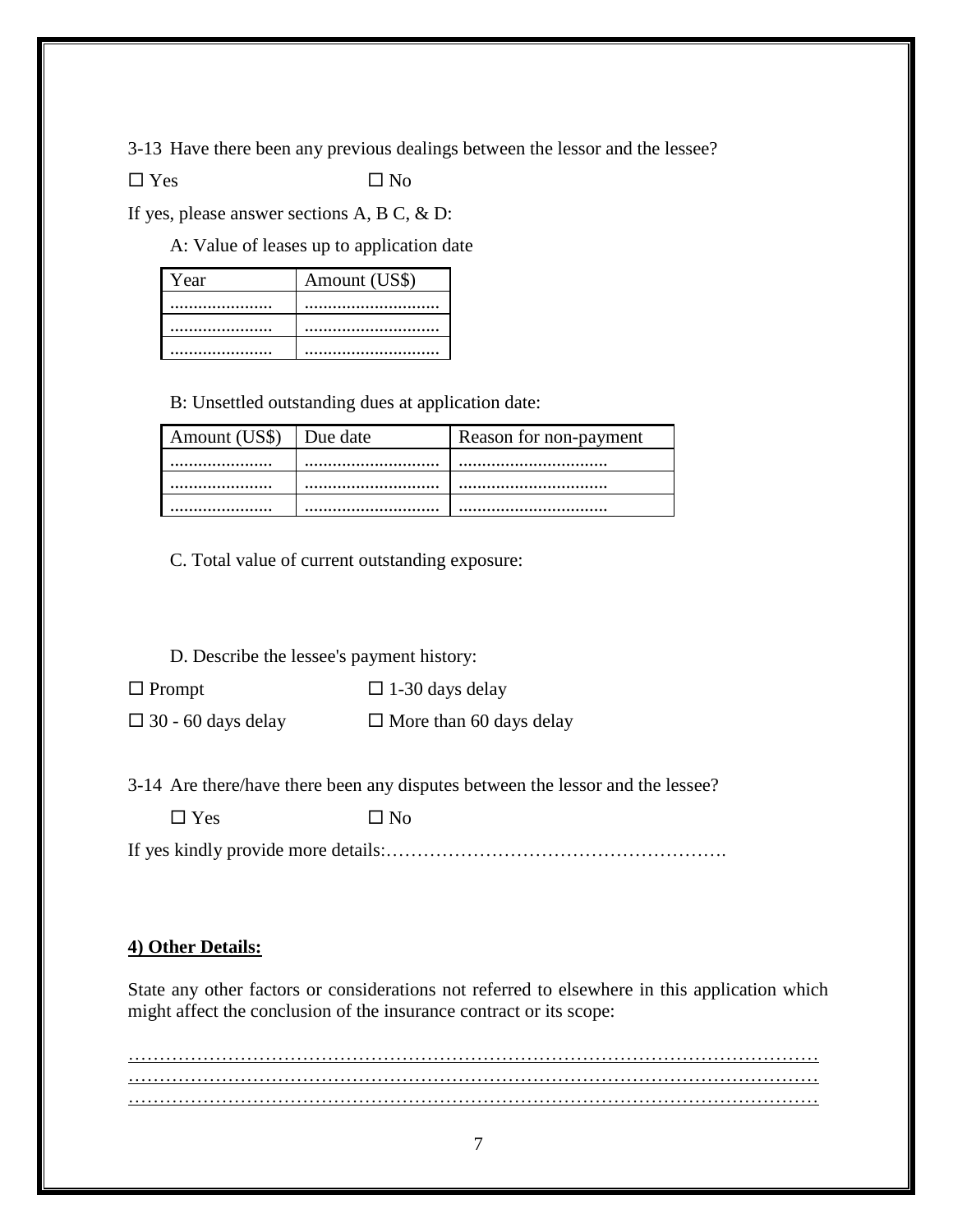3-13 Have there been any previous dealings between the lessor and the lessee?

 $\square$  Yes  $\square$  No

If yes, please answer sections A, B C, & D:

A: Value of leases up to application date

| <b>Year</b> | Amount (US\$) |
|-------------|---------------|
|             |               |
|             |               |
|             |               |

B: Unsettled outstanding dues at application date:

| Amount (US\$) | Due date | Reason for non-payment |
|---------------|----------|------------------------|
| .             |          |                        |
|               |          |                        |
|               |          |                        |

C. Total value of current outstanding exposure:

D. Describe the lessee's payment history:

 $\Box$  Prompt  $\Box$  1-30 days delay  $\Box$  30 - 60 days delay  $\Box$  More than 60 days delay

3-14 Are there/have there been any disputes between the lessor and the lessee?

 $\Box$  Yes  $\Box$  No

If yes kindly provide more details:……………………………………………….

## **4) Other Details:**

State any other factors or considerations not referred to elsewhere in this application which might affect the conclusion of the insurance contract or its scope:

………………………………………………………………………………………………… ………………………………………………………………………………………………… …………………………………………………………………………………………………